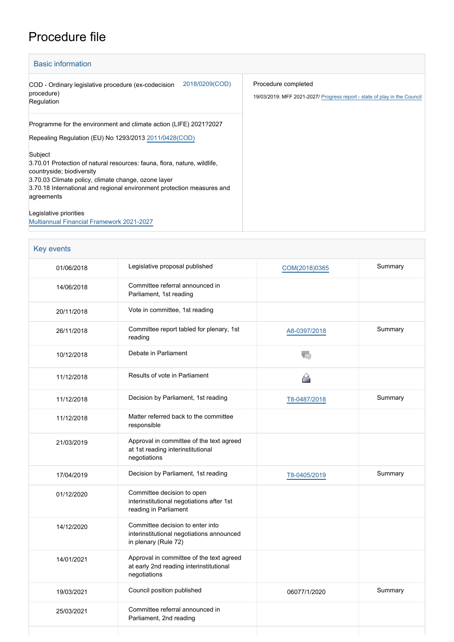## Procedure file

| <b>Basic information</b>                                                                                                                                                                                                                                        |                                                                                                  |
|-----------------------------------------------------------------------------------------------------------------------------------------------------------------------------------------------------------------------------------------------------------------|--------------------------------------------------------------------------------------------------|
| 2018/0209(COD)<br>COD - Ordinary legislative procedure (ex-codecision<br>procedure)<br>Regulation                                                                                                                                                               | Procedure completed<br>19/03/2019: MFF 2021-2027/ Progress report - state of play in the Council |
| Programme for the environment and climate action (LIFE) 2021?2027<br>Repealing Regulation (EU) No 1293/2013 2011/0428 (COD)                                                                                                                                     |                                                                                                  |
| Subject<br>3.70.01 Protection of natural resources: fauna, flora, nature, wildlife,<br>countryside; biodiversity<br>3.70.03 Climate policy, climate change, ozone layer<br>3.70.18 International and regional environment protection measures and<br>agreements |                                                                                                  |
| Legislative priorities<br><b>Multiannual Financial Framework 2021-2027</b>                                                                                                                                                                                      |                                                                                                  |

| Key events |                                                                                                       |               |         |
|------------|-------------------------------------------------------------------------------------------------------|---------------|---------|
| 01/06/2018 | Legislative proposal published                                                                        | COM(2018)0385 | Summary |
| 14/06/2018 | Committee referral announced in<br>Parliament, 1st reading                                            |               |         |
| 20/11/2018 | Vote in committee, 1st reading                                                                        |               |         |
| 26/11/2018 | Committee report tabled for plenary, 1st<br>reading                                                   | A8-0397/2018  | Summary |
| 10/12/2018 | Debate in Parliament                                                                                  |               |         |
| 11/12/2018 | Results of vote in Parliament                                                                         | ◠             |         |
| 11/12/2018 | Decision by Parliament, 1st reading                                                                   | T8-0487/2018  | Summary |
| 11/12/2018 | Matter referred back to the committee<br>responsible                                                  |               |         |
| 21/03/2019 | Approval in committee of the text agreed<br>at 1st reading interinstitutional<br>negotiations         |               |         |
| 17/04/2019 | Decision by Parliament, 1st reading                                                                   | T8-0405/2019  | Summary |
| 01/12/2020 | Committee decision to open<br>interinstitutional negotiations after 1st<br>reading in Parliament      |               |         |
| 14/12/2020 | Committee decision to enter into<br>interinstitutional negotiations announced<br>in plenary (Rule 72) |               |         |
| 14/01/2021 | Approval in committee of the text agreed<br>at early 2nd reading interinstitutional<br>negotiations   |               |         |
| 19/03/2021 | Council position published                                                                            | 06077/1/2020  | Summary |
| 25/03/2021 | Committee referral announced in<br>Parliament, 2nd reading                                            |               |         |